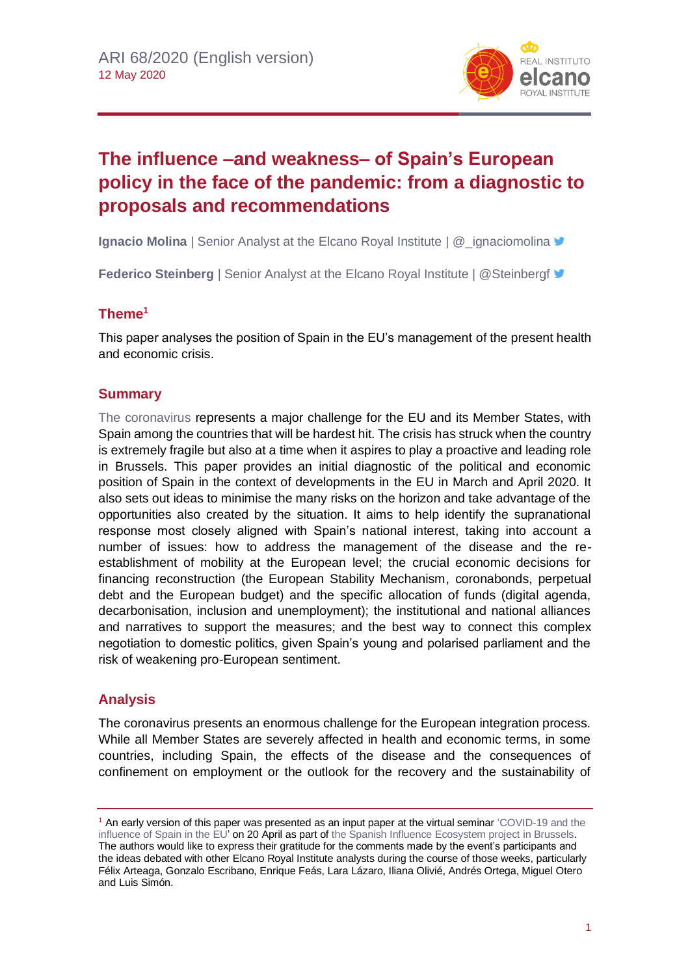

# **The influence –and weakness– of Spain's European policy in the face of the pandemic: from a diagnostic to proposals and recommendations**

**Ignacio Molina** | Senior Analyst at the Elcano Royal Institute | @\_ignaciomolina

**Federico Steinberg** | Senior Analyst at the Elcano Royal Institute | @Steinbergf  $\blacktriangledown$ 

## **Theme<sup>1</sup>**

This paper analyses the position of Spain in the EU's management of the present health and economic crisis.

## **Summary**

[The coronavirus](https://especiales.realinstitutoelcano.org/coronavirus/?lang=en) represents a major challenge for the EU and its Member States, with Spain among the countries that will be hardest hit. The crisis has struck when the country is extremely fragile but also at a time when it aspires to play a proactive and leading role in Brussels. This paper provides an initial diagnostic of the political and economic position of Spain in the context of developments in the EU in March and April 2020. It also sets out ideas to minimise the many risks on the horizon and take advantage of the opportunities also created by the situation. It aims to help identify the supranational response most closely aligned with Spain's national interest, taking into account a number of issues: how to address the management of the disease and the reestablishment of mobility at the European level; the crucial economic decisions for financing reconstruction (the European Stability Mechanism, coronabonds, perpetual debt and the European budget) and the specific allocation of funds (digital agenda, decarbonisation, inclusion and unemployment); the institutional and national alliances and narratives to support the measures; and the best way to connect this complex negotiation to domestic politics, given Spain's young and polarised parliament and the risk of weakening pro-European sentiment.

## **Analysis**

The coronavirus presents an enormous challenge for the European integration process. While all Member States are severely affected in health and economic terms, in some countries, including Spain, the effects of the disease and the consequences of confinement on employment or the outlook for the recovery and the sustainability of

<sup>&</sup>lt;sup>1</sup> An early version of this paper was presented as an input paper at the virtual seminar 'COVID-19 and the [influence of Spain in the EU'](http://www.realinstitutoelcano.org/wps/portal/rielcano_es/actividad?WCM_GLOBAL_CONTEXT=/elcano/elcano_es/calendario/actividades/seminario-digital-covid-19-e-influencia-de-espana-en-europa) on 20 April as part of the Spanish Influence Ecosystem project in Brussels. The authors would like to express their gratitude for the comments made by the event's participants and the ideas debated with other Elcano Royal Institute analysts during the course of those weeks, particularly Félix Arteaga, Gonzalo Escribano, Enrique Feás, Lara Lázaro, Iliana Olivié, Andrés Ortega, Miguel Otero and Luis Simón.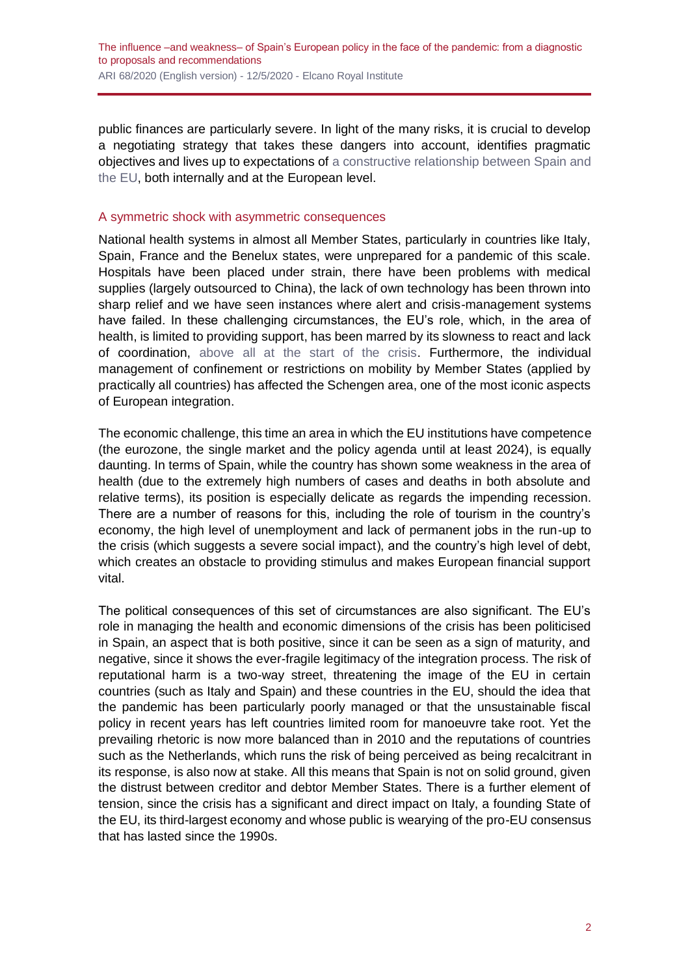public finances are particularly severe. In light of the many risks, it is crucial to develop a negotiating strategy that takes these dangers into account, identifies pragmatic objectives and lives up to expectations of [a constructive relationship between Spain and](http://www.realinstitutoelcano.org/wps/portal/rielcano_es/contenido?WCM_GLOBAL_CONTEXT=/elcano/elcano_es/zonas_es/comentario-steinberg-division-del-trabajo-entre-espana-y-ue-en-respuesta-economica-al-covid-19)  [the EU,](http://www.realinstitutoelcano.org/wps/portal/rielcano_es/contenido?WCM_GLOBAL_CONTEXT=/elcano/elcano_es/zonas_es/comentario-steinberg-division-del-trabajo-entre-espana-y-ue-en-respuesta-economica-al-covid-19) both internally and at the European level.

#### A symmetric shock with asymmetric consequences

National health systems in almost all Member States, particularly in countries like Italy, Spain, France and the Benelux states, were unprepared for a pandemic of this scale. Hospitals have been placed under strain, there have been problems with medical supplies (largely outsourced to China), the lack of own technology has been thrown into sharp relief and we have seen instances where alert and crisis-management systems have failed. In these challenging circumstances, the EU's role, which, in the area of health, is limited to providing support, has been marred by its slowness to react and lack of coordination, [above all at the start of the crisis.](https://blog.realinstitutoelcano.org/covid-19-la-union-europea-se-juega-su-credibilidad/) Furthermore, the individual management of confinement or restrictions on mobility by Member States (applied by practically all countries) has affected the Schengen area, one of the most iconic aspects of European integration.

The economic challenge, this time an area in which the EU institutions have competence (the eurozone, the single market and the policy agenda until at least 2024), is equally daunting. In terms of Spain, while the country has shown some weakness in the area of health (due to the extremely high numbers of cases and deaths in both absolute and relative terms), its position is especially delicate as regards the impending recession. There are a number of reasons for this, including the role of tourism in the country's economy, the high level of unemployment and lack of permanent jobs in the run-up to the crisis (which suggests a severe social impact), and the country's high level of debt, which creates an obstacle to providing stimulus and makes European financial support vital.

The political consequences of this set of circumstances are also significant. The EU's role in managing the health and economic dimensions of the crisis has been politicised in Spain, an aspect that is both positive, since it can be seen as a sign of maturity, and negative, since it shows the ever-fragile legitimacy of the integration process. The risk of reputational harm is a two-way street, threatening the image of the EU in certain countries (such as Italy and Spain) and these countries in the EU, should the idea that the pandemic has been particularly poorly managed or that the unsustainable fiscal policy in recent years has left countries limited room for manoeuvre take root. Yet the prevailing rhetoric is now more balanced than in 2010 and the reputations of countries such as the Netherlands, which runs the risk of being perceived as being recalcitrant in its response, is also now at stake. All this means that Spain is not on solid ground, given the distrust between creditor and debtor Member States. There is a further element of tension, since the crisis has a significant and direct impact on Italy, a founding State of the EU, its third-largest economy and whose public is wearying of the pro-EU consensus that has lasted since the 1990s.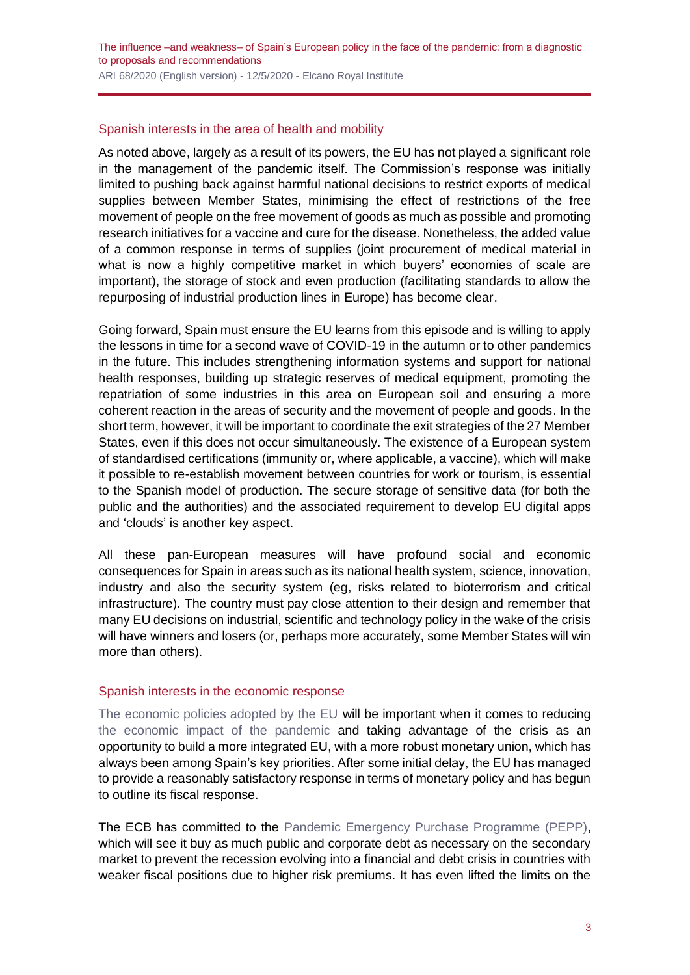#### Spanish interests in the area of health and mobility

As noted above, largely as a result of its powers, the EU has not played a significant role in the management of the pandemic itself. The Commission's response was initially limited to pushing back against harmful national decisions to restrict exports of medical supplies between Member States, minimising the effect of restrictions of the free movement of people on the free movement of goods as much as possible and promoting research initiatives for a vaccine and cure for the disease. Nonetheless, the added value of a common response in terms of supplies (joint procurement of medical material in what is now a highly competitive market in which buyers' economies of scale are important), the storage of stock and even production (facilitating standards to allow the repurposing of industrial production lines in Europe) has become clear.

Going forward, Spain must ensure the EU learns from this episode and is willing to apply the lessons in time for a second wave of COVID-19 in the autumn or to other pandemics in the future. This includes strengthening information systems and support for national health responses, building up strategic reserves of medical equipment, promoting the repatriation of some industries in this area on European soil and ensuring a more coherent reaction in the areas of security and the movement of people and goods. In the short term, however, it will be important to coordinate the exit strategies of the 27 Member States, even if this does not occur simultaneously. The existence of a European system of standardised certifications (immunity or, where applicable, a vaccine), which will make it possible to re-establish movement between countries for work or tourism, is essential to the Spanish model of production. The secure storage of sensitive data (for both the public and the authorities) and the associated requirement to develop EU digital apps and 'clouds' is another key aspect.

All these pan-European measures will have profound social and economic consequences for Spain in areas such as its national health system, science, innovation, industry and also the security system (eg, risks related to bioterrorism and critical infrastructure). The country must pay close attention to their design and remember that many EU decisions on industrial, scientific and technology policy in the wake of the crisis will have winners and losers (or, perhaps more accurately, some Member States will win more than others).

#### Spanish interests in the economic response

[The economic policies adopted by the EU](http://www.realinstitutoelcano.org/wps/portal/rielcano_es/contenido?WCM_GLOBAL_CONTEXT=/elcano/elcano_es/zonas_es/ari46-2020-feas-garciaandres-la-ue-ante-la-emergencia-y-dia-despues) will be important when it comes to reducing [the economic impact of the pandemic](http://www.realinstitutoelcano.org/wps/portal/rielcano_en/contenido?WCM_GLOBAL_CONTEXT=/elcano/elcano_in/zonas_in/ari35-2020-steinberg-coronavirus-economic-threat-political-response-and-implications) and taking advantage of the crisis as an opportunity to build a more integrated EU, with a more robust monetary union, which has always been among Spain's key priorities. After some initial delay, the EU has managed to provide a reasonably satisfactory response in terms of monetary policy and has begun to outline its fiscal response.

The ECB has committed to the [Pandemic Emergency Purchase Programme \(PEPP\),](https://www.ecb.europa.eu/home/search/html/pandemic_emergency_purchase_programme_pepp.en.html) which will see it buy as much public and corporate debt as necessary on the secondary market to prevent the recession evolving into a financial and debt crisis in countries with weaker fiscal positions due to higher risk premiums. It has even lifted the limits on the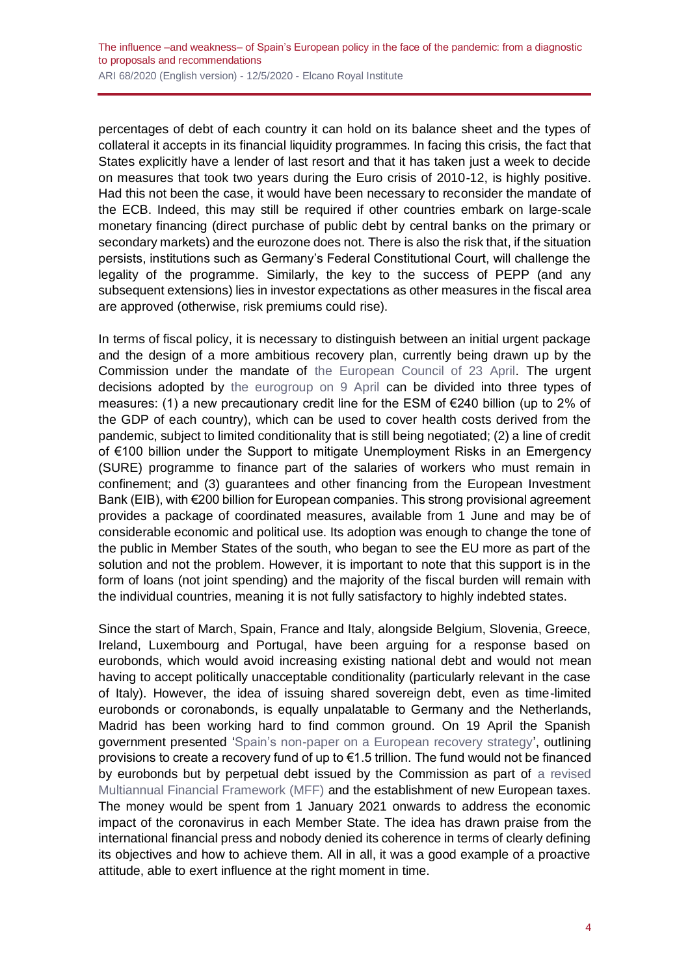percentages of debt of each country it can hold on its balance sheet and the types of collateral it accepts in its financial liquidity programmes. In facing this crisis, the fact that States explicitly have a lender of last resort and that it has taken just a week to decide on measures that took two years during the Euro crisis of 2010-12, is highly positive. Had this not been the case, it would have been necessary to reconsider the mandate of the ECB. Indeed, this may still be required if other countries embark on large-scale monetary financing (direct purchase of public debt by central banks on the primary or secondary markets) and the eurozone does not. There is also the risk that, if the situation persists, institutions such as Germany's Federal Constitutional Court, will challenge the legality of the programme. Similarly, the key to the success of PEPP (and any subsequent extensions) lies in investor expectations as other measures in the fiscal area are approved (otherwise, risk premiums could rise).

In terms of fiscal policy, it is necessary to distinguish between an initial urgent package and the design of a more ambitious recovery plan, currently being drawn up by the Commission under the mandate of [the European Council of 23 April.](https://www.consilium.europa.eu/es/meetings/european-council/2020/04/23/) The urgent decisions adopted by [the eurogroup on 9 April](https://www.consilium.europa.eu/es/press/press-releases/2020/04/09/report-on-the-comprehensive-economic-policy-response-to-the-covid-19-pandemic/) can be divided into three types of measures: (1) a new precautionary credit line for the ESM of €240 billion (up to 2% of the GDP of each country), which can be used to cover health costs derived from the pandemic, subject to limited conditionality that is still being negotiated; (2) a line of credit of €100 billion under the Support to mitigate Unemployment Risks in an Emergency (SURE) programme to finance part of the salaries of workers who must remain in confinement; and (3) guarantees and other financing from the European Investment Bank (EIB), with €200 billion for European companies. This strong provisional agreement provides a package of coordinated measures, available from 1 June and may be of considerable economic and political use. Its adoption was enough to change the tone of the public in Member States of the south, who began to see the EU more as part of the solution and not the problem. However, it is important to note that this support is in the form of loans (not joint spending) and the majority of the fiscal burden will remain with the individual countries, meaning it is not fully satisfactory to highly indebted states.

Since the start of March, Spain, France and Italy, alongside Belgium, Slovenia, Greece, Ireland, Luxembourg and Portugal, have been arguing for a response based on eurobonds, which would avoid increasing existing national debt and would not mean having to accept politically unacceptable conditionality (particularly relevant in the case of Italy). However, the idea of issuing shared sovereign debt, even as time-limited eurobonds or coronabonds, is equally unpalatable to Germany and the Netherlands, Madrid has been working hard to find common ground. On 19 April the Spanish government presented ['Spain's non-paper on a European recovery strategy'](https://g8fip1kplyr33r3krz5b97d1-wpengine.netdna-ssl.com/wp-content/uploads/2020/04/Spain-.pdf), outlining provisions to create a recovery fund of up to €1.5 trillion. The fund would not be financed by eurobonds but by perpetual debt issued by the Commission as part of [a revised](http://www.realinstitutoelcano.org/wps/portal/rielcano_es/contenido?WCM_GLOBAL_CONTEXT=/elcano/elcano_es/zonas_es/ari53-2020-kolling-coronavirus-como-catalizador-para-revision-profunda-futuro-marco-financiero-plurianual-ue)  [Multiannual Financial Framework \(MFF\)](http://www.realinstitutoelcano.org/wps/portal/rielcano_es/contenido?WCM_GLOBAL_CONTEXT=/elcano/elcano_es/zonas_es/ari53-2020-kolling-coronavirus-como-catalizador-para-revision-profunda-futuro-marco-financiero-plurianual-ue) and the establishment of new European taxes. The money would be spent from 1 January 2021 onwards to address the economic impact of the coronavirus in each Member State. The idea has drawn praise from the international financial press and nobody denied its coherence in terms of clearly defining its objectives and how to achieve them. All in all, it was a good example of a proactive attitude, able to exert influence at the right moment in time.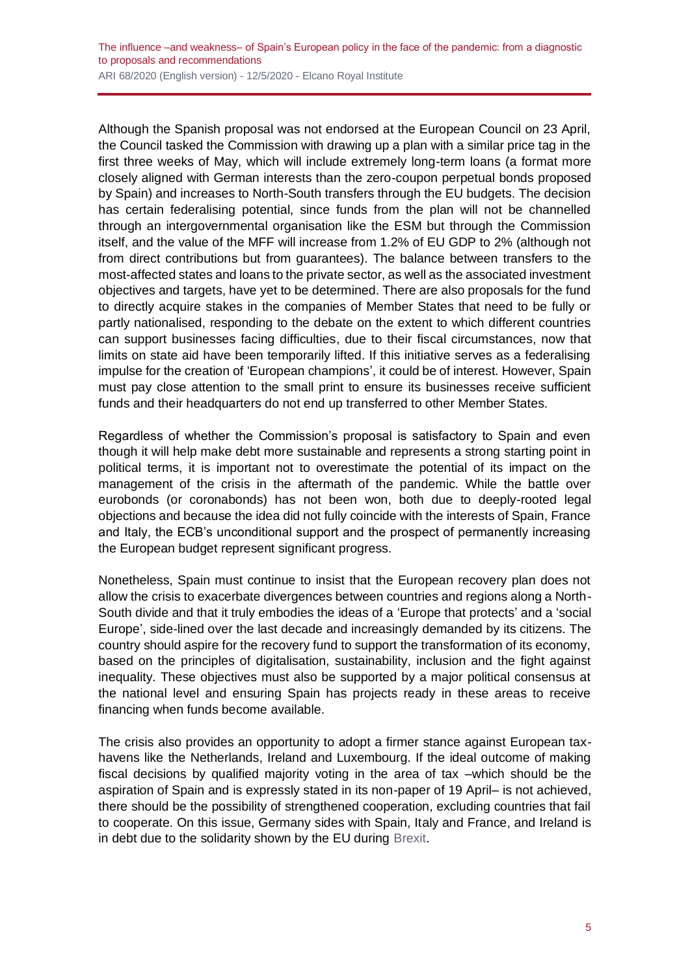Although the Spanish proposal was not endorsed at the European Council on 23 April, the Council tasked the Commission with drawing up a plan with a similar price tag in the first three weeks of May, which will include extremely long-term loans (a format more closely aligned with German interests than the zero-coupon perpetual bonds proposed by Spain) and increases to North-South transfers through the EU budgets. The decision has certain federalising potential, since funds from the plan will not be channelled through an intergovernmental organisation like the ESM but through the Commission itself, and the value of the MFF will increase from 1.2% of EU GDP to 2% (although not from direct contributions but from guarantees). The balance between transfers to the most-affected states and loans to the private sector, as well as the associated investment objectives and targets, have yet to be determined. There are also proposals for the fund to directly acquire stakes in the companies of Member States that need to be fully or partly nationalised, responding to the debate on the extent to which different countries can support businesses facing difficulties, due to their fiscal circumstances, now that limits on state aid have been temporarily lifted. If this initiative serves as a federalising impulse for the creation of 'European champions', it could be of interest. However, Spain must pay close attention to the small print to ensure its businesses receive sufficient funds and their headquarters do not end up transferred to other Member States.

Regardless of whether the Commission's proposal is satisfactory to Spain and even though it will help make debt more sustainable and represents a strong starting point in political terms, it is important not to overestimate the potential of its impact on the management of the crisis in the aftermath of the pandemic. While the battle over eurobonds (or coronabonds) has not been won, both due to deeply-rooted legal objections and because the idea did not fully coincide with the interests of Spain, France and Italy, the ECB's unconditional support and the prospect of permanently increasing the European budget represent significant progress.

Nonetheless, Spain must continue to insist that the European recovery plan does not allow the crisis to exacerbate divergences between countries and regions along a North-South divide and that it truly embodies the ideas of a 'Europe that protects' and a 'social Europe', side-lined over the last decade and increasingly demanded by its citizens. The country should aspire for the recovery fund to support the transformation of its economy, based on the principles of digitalisation, sustainability, inclusion and the fight against inequality. These objectives must also be supported by a major political consensus at the national level and ensuring Spain has projects ready in these areas to receive financing when funds become available.

The crisis also provides an opportunity to adopt a firmer stance against European taxhavens like the Netherlands, Ireland and Luxembourg. If the ideal outcome of making fiscal decisions by qualified majority voting in the area of tax –which should be the aspiration of Spain and is expressly stated in its non-paper of 19 April– is not achieved, there should be the possibility of strengthened cooperation, excluding countries that fail to cooperate. On this issue, Germany sides with Spain, Italy and France, and Ireland is in debt due to the solidarity shown by the EU during [Brexit.](https://especiales.realinstitutoelcano.org/brexit/)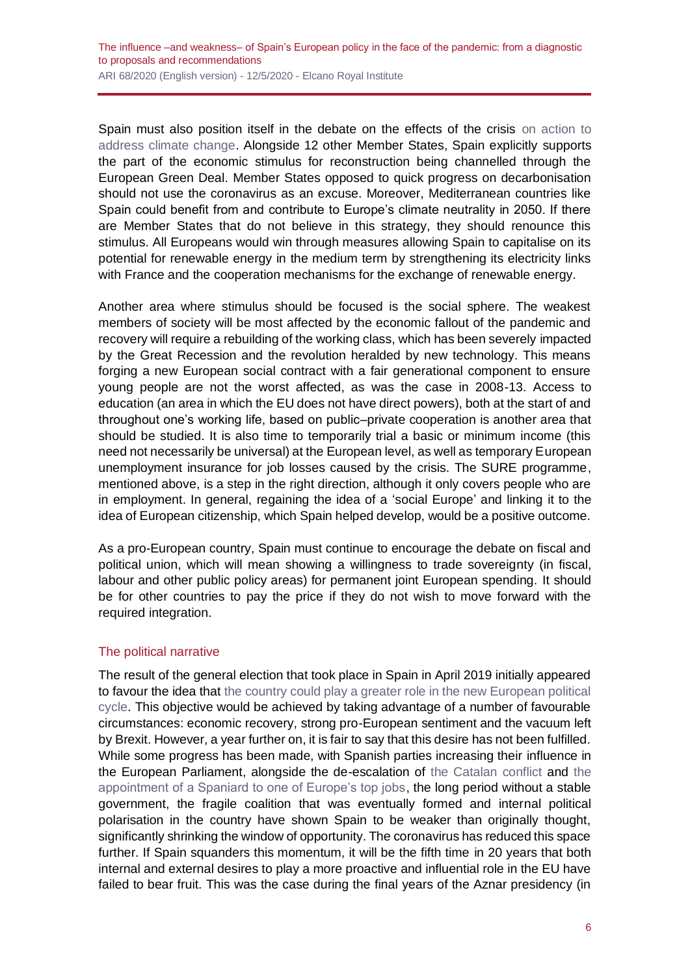Spain must also position itself in the debate on the effects of the crisis on action to [address climate change.](http://www.realinstitutoelcano.org/wps/portal/rielcano_en/contenido?WCM_GLOBAL_CONTEXT=/elcano/elcano_in/zonas_in/wp6-2020-escribano-lazarotouza-oil-markets-energy-transition-climate-governance-and-covid-19-short-medium-and-long-term) Alongside 12 other Member States, Spain explicitly supports the part of the economic stimulus for reconstruction being channelled through the European Green Deal. Member States opposed to quick progress on decarbonisation should not use the coronavirus as an excuse. Moreover, Mediterranean countries like Spain could benefit from and contribute to Europe's climate neutrality in 2050. If there are Member States that do not believe in this strategy, they should renounce this stimulus. All Europeans would win through measures allowing Spain to capitalise on its potential for renewable energy in the medium term by strengthening its electricity links with France and the cooperation mechanisms for the exchange of renewable energy.

Another area where stimulus should be focused is the social sphere. The weakest members of society will be most affected by the economic fallout of the pandemic and recovery will require a rebuilding of the working class, which has been severely impacted by the Great Recession and the revolution heralded by new technology. This means forging a new European social contract with a fair generational component to ensure young people are not the worst affected, as was the case in 2008-13. Access to education (an area in which the EU does not have direct powers), both at the start of and throughout one's working life, based on public–private cooperation is another area that should be studied. It is also time to temporarily trial a basic or minimum income (this need not necessarily be universal) at the European level, as well as temporary European unemployment insurance for job losses caused by the crisis. The SURE programme, mentioned above, is a step in the right direction, although it only covers people who are in employment. In general, regaining the idea of a 'social Europe' and linking it to the idea of European citizenship, which Spain helped develop, would be a positive outcome.

As a pro-European country, Spain must continue to encourage the debate on fiscal and political union, which will mean showing a willingness to trade sovereignty (in fiscal, labour and other public policy areas) for permanent joint European spending. It should be for other countries to pay the price if they do not wish to move forward with the required integration.

#### The political narrative

The result of the general election that took place in Spain in April 2019 initially appeared to favour the idea that [the country could play a greater role in the new European political](http://www.realinstitutoelcano.org/wps/portal/rielcano_es/contenido?WCM_GLOBAL_CONTEXT=/elcano/elcano_es/zonas_es/ari48-2019-molina-positivo-impacto-elecciones-generales-sobre-influencia-espanola-en-la-ue)  [cycle.](http://www.realinstitutoelcano.org/wps/portal/rielcano_es/contenido?WCM_GLOBAL_CONTEXT=/elcano/elcano_es/zonas_es/ari48-2019-molina-positivo-impacto-elecciones-generales-sobre-influencia-espanola-en-la-ue) This objective would be achieved by taking advantage of a number of favourable circumstances: economic recovery, strong pro-European sentiment and the vacuum left by Brexit. However, a year further on, it is fair to say that this desire has not been fulfilled. While some progress has been made, with Spanish parties increasing their influence in the European Parliament, alongside the de-escalation of [the Catalan conflict](https://especiales.realinstitutoelcano.org/catalonia/) and [the](http://www.realinstitutoelcano.org/wps/portal/rielcano_en/contenido?WCM_GLOBAL_CONTEXT=/elcano/elcano_in/zonas_in/ari88-2019-Molina-Simon-strategic-look-position-high-representative-commission-vice-president)  [appointment of a Spaniard to one of Europe's top jobs,](http://www.realinstitutoelcano.org/wps/portal/rielcano_en/contenido?WCM_GLOBAL_CONTEXT=/elcano/elcano_in/zonas_in/ari88-2019-Molina-Simon-strategic-look-position-high-representative-commission-vice-president) the long period without a stable government, the fragile coalition that was eventually formed and internal political polarisation in the country have shown Spain to be weaker than originally thought, significantly shrinking the window of opportunity. The coronavirus has reduced this space further. If Spain squanders this momentum, it will be the fifth time in 20 years that both internal and external desires to play a more proactive and influential role in the EU have failed to bear fruit. This was the case during the final years of the Aznar presidency (in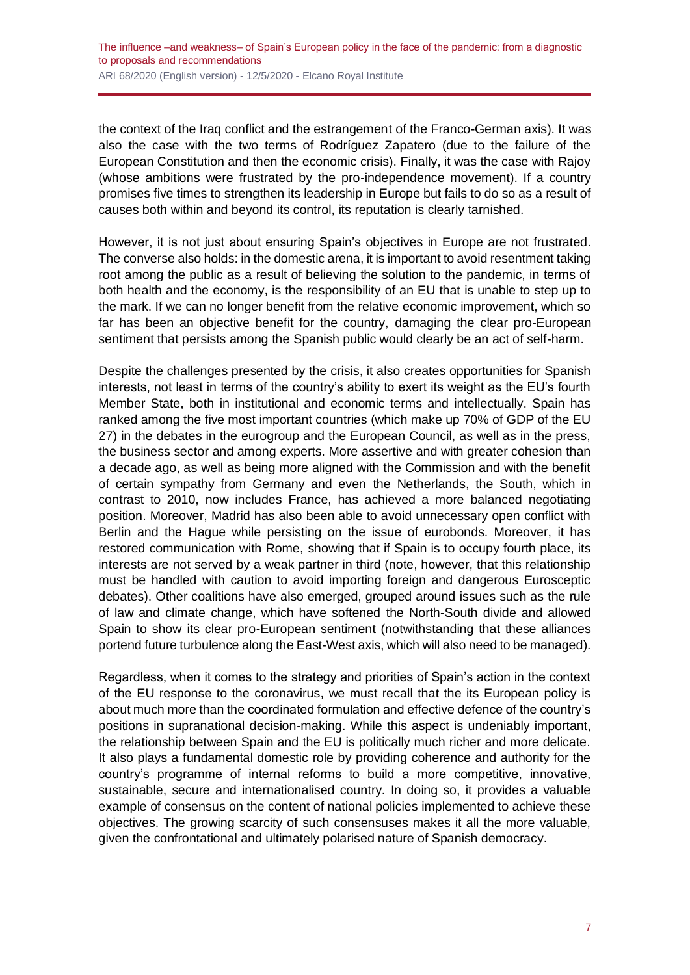the context of the Iraq conflict and the estrangement of the Franco-German axis). It was also the case with the two terms of Rodríguez Zapatero (due to the failure of the European Constitution and then the economic crisis). Finally, it was the case with Rajoy (whose ambitions were frustrated by the pro-independence movement). If a country promises five times to strengthen its leadership in Europe but fails to do so as a result of causes both within and beyond its control, its reputation is clearly tarnished.

However, it is not just about ensuring Spain's objectives in Europe are not frustrated. The converse also holds: in the domestic arena, it is important to avoid resentment taking root among the public as a result of believing the solution to the pandemic, in terms of both health and the economy, is the responsibility of an EU that is unable to step up to the mark. If we can no longer benefit from the relative economic improvement, which so far has been an objective benefit for the country, damaging the clear pro-European sentiment that persists among the Spanish public would clearly be an act of self-harm.

Despite the challenges presented by the crisis, it also creates opportunities for Spanish interests, not least in terms of the country's ability to exert its weight as the EU's fourth Member State, both in institutional and economic terms and intellectually. Spain has ranked among the five most important countries (which make up 70% of GDP of the EU 27) in the debates in the eurogroup and the European Council, as well as in the press, the business sector and among experts. More assertive and with greater cohesion than a decade ago, as well as being more aligned with the Commission and with the benefit of certain sympathy from Germany and even the Netherlands, the South, which in contrast to 2010, now includes France, has achieved a more balanced negotiating position. Moreover, Madrid has also been able to avoid unnecessary open conflict with Berlin and the Hague while persisting on the issue of eurobonds. Moreover, it has restored communication with Rome, showing that if Spain is to occupy fourth place, its interests are not served by a weak partner in third (note, however, that this relationship must be handled with caution to avoid importing foreign and dangerous Eurosceptic debates). Other coalitions have also emerged, grouped around issues such as the rule of law and climate change, which have softened the North-South divide and allowed Spain to show its clear pro-European sentiment (notwithstanding that these alliances portend future turbulence along the East-West axis, which will also need to be managed).

Regardless, when it comes to the strategy and priorities of Spain's action in the context of the EU response to the coronavirus, we must recall that the its European policy is about much more than the coordinated formulation and effective defence of the country's positions in supranational decision-making. While this aspect is undeniably important, the relationship between Spain and the EU is politically much richer and more delicate. It also plays a fundamental domestic role by providing coherence and authority for the country's programme of internal reforms to build a more competitive, innovative, sustainable, secure and internationalised country. In doing so, it provides a valuable example of consensus on the content of national policies implemented to achieve these objectives. The growing scarcity of such consensuses makes it all the more valuable, given the confrontational and ultimately polarised nature of Spanish democracy.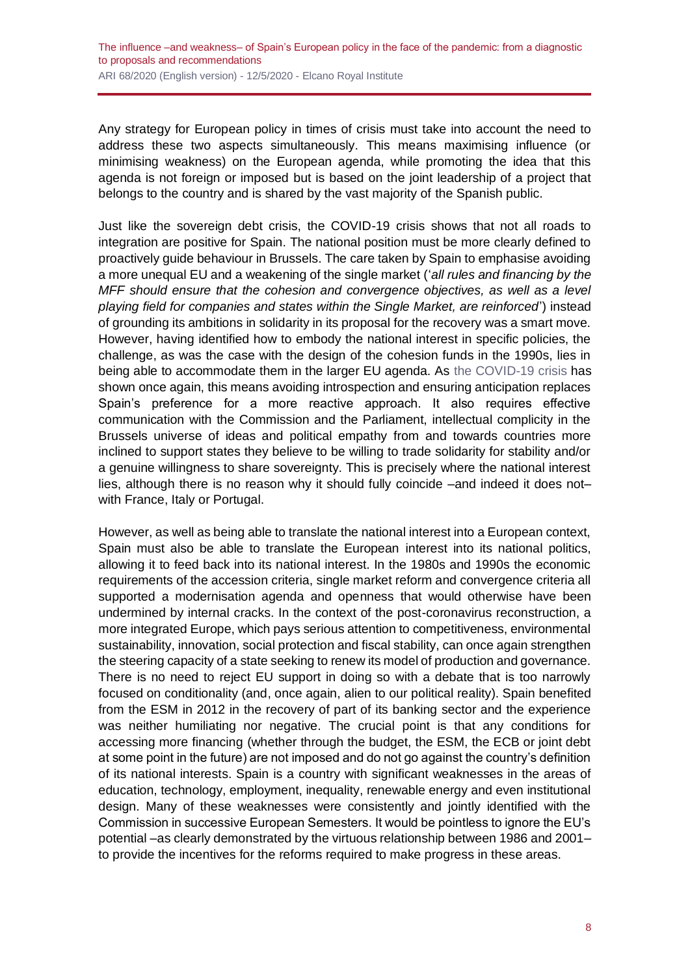Any strategy for European policy in times of crisis must take into account the need to address these two aspects simultaneously. This means maximising influence (or minimising weakness) on the European agenda, while promoting the idea that this agenda is not foreign or imposed but is based on the joint leadership of a project that belongs to the country and is shared by the vast majority of the Spanish public.

Just like the sovereign debt crisis, the COVID-19 crisis shows that not all roads to integration are positive for Spain. The national position must be more clearly defined to proactively guide behaviour in Brussels. The care taken by Spain to emphasise avoiding a more unequal EU and a weakening of the single market ('*all rules and financing by the MFF should ensure that the cohesion and convergence objectives, as well as a level playing field for companies and states within the Single Market, are reinforced*') instead of grounding its ambitions in solidarity in its proposal for the recovery was a smart move. However, having identified how to embody the national interest in specific policies, the challenge, as was the case with the design of the cohesion funds in the 1990s, lies in being able to accommodate them in the larger EU agenda. As [the COVID-19 crisis](https://especiales.realinstitutoelcano.org/coronavirus/?lang=en) has shown once again, this means avoiding introspection and ensuring anticipation replaces Spain's preference for a more reactive approach. It also requires effective communication with the Commission and the Parliament, intellectual complicity in the Brussels universe of ideas and political empathy from and towards countries more inclined to support states they believe to be willing to trade solidarity for stability and/or a genuine willingness to share sovereignty. This is precisely where the national interest lies, although there is no reason why it should fully coincide –and indeed it does not– with France, Italy or Portugal.

However, as well as being able to translate the national interest into a European context, Spain must also be able to translate the European interest into its national politics, allowing it to feed back into its national interest. In the 1980s and 1990s the economic requirements of the accession criteria, single market reform and convergence criteria all supported a modernisation agenda and openness that would otherwise have been undermined by internal cracks. In the context of the post-coronavirus reconstruction, a more integrated Europe, which pays serious attention to competitiveness, environmental sustainability, innovation, social protection and fiscal stability, can once again strengthen the steering capacity of a state seeking to renew its model of production and governance. There is no need to reject EU support in doing so with a debate that is too narrowly focused on conditionality (and, once again, alien to our political reality). Spain benefited from the ESM in 2012 in the recovery of part of its banking sector and the experience was neither humiliating nor negative. The crucial point is that any conditions for accessing more financing (whether through the budget, the ESM, the ECB or joint debt at some point in the future) are not imposed and do not go against the country's definition of its national interests. Spain is a country with significant weaknesses in the areas of education, technology, employment, inequality, renewable energy and even institutional design. Many of these weaknesses were consistently and jointly identified with the Commission in successive European Semesters. It would be pointless to ignore the EU's potential –as clearly demonstrated by the virtuous relationship between 1986 and 2001– to provide the incentives for the reforms required to make progress in these areas.